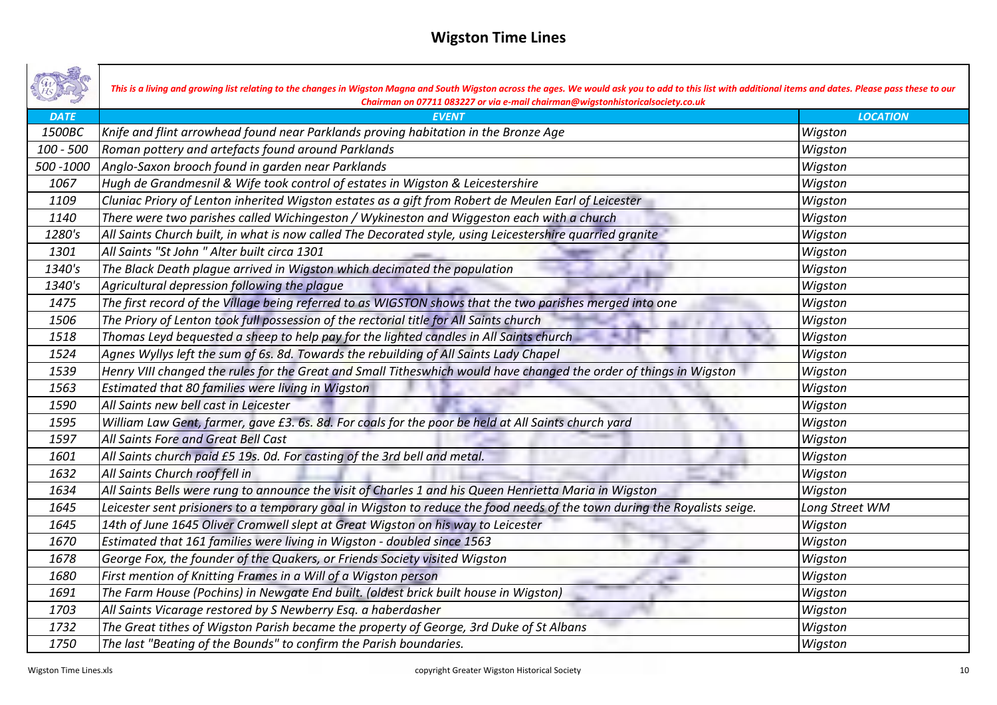|             | This is a living and growing list relating to the changes in Wigston Magna and South Wigston across the ages. We would ask you to add to this list with additional items and dates. Please pass these to our<br>Chairman on 07711 083227 or via e-mail chairman@wigstonhistoricalsociety.co.uk |                 |
|-------------|------------------------------------------------------------------------------------------------------------------------------------------------------------------------------------------------------------------------------------------------------------------------------------------------|-----------------|
| <b>DATE</b> | <b>EVENT</b>                                                                                                                                                                                                                                                                                   | <b>LOCATION</b> |
| 1500BC      | Knife and flint arrowhead found near Parklands proving habitation in the Bronze Age                                                                                                                                                                                                            | Wigston         |
| $100 - 500$ | Roman pottery and artefacts found around Parklands                                                                                                                                                                                                                                             | Wigston         |
| 500 - 1000  | Anglo-Saxon brooch found in garden near Parklands                                                                                                                                                                                                                                              | Wigston         |
| 1067        | Hugh de Grandmesnil & Wife took control of estates in Wigston & Leicestershire                                                                                                                                                                                                                 | Wigston         |
| 1109        | Cluniac Priory of Lenton inherited Wigston estates as a gift from Robert de Meulen Earl of Leicester                                                                                                                                                                                           | Wigston         |
| 1140        | There were two parishes called Wichingeston / Wykineston and Wiggeston each with a church                                                                                                                                                                                                      | Wigston         |
| 1280's      | All Saints Church built, in what is now called The Decorated style, using Leicestershire quarried granite                                                                                                                                                                                      | Wigston         |
| 1301        | All Saints "St John " Alter built circa 1301                                                                                                                                                                                                                                                   | Wigston         |
| 1340's      | The Black Death plague arrived in Wigston which decimated the population                                                                                                                                                                                                                       | Wigston         |
| 1340's      | Agricultural depression following the plague                                                                                                                                                                                                                                                   | Wigston         |
| 1475        | The first record of the Village being referred to as WIGSTON shows that the two parishes merged into one                                                                                                                                                                                       | Wigston         |
| 1506        | The Priory of Lenton took full possession of the rectorial title for All Saints church                                                                                                                                                                                                         | Wigston         |
| 1518        | Thomas Leyd bequested a sheep to help pay for the lighted candles in All Saints church                                                                                                                                                                                                         | Wigston         |
| 1524        | Agnes Wyllys left the sum of 6s. 8d. Towards the rebuilding of All Saints Lady Chapel                                                                                                                                                                                                          | Wigston         |
| 1539        | Henry VIII changed the rules for the Great and Small Titheswhich would have changed the order of things in Wigston                                                                                                                                                                             | Wigston         |
| 1563        | Estimated that 80 families were living in Wigston                                                                                                                                                                                                                                              | Wigston         |
| 1590        | All Saints new bell cast in Leicester                                                                                                                                                                                                                                                          | Wigston         |
| 1595        | William Law Gent, farmer, gave £3. 6s. 8d. For coals for the poor be held at All Saints church yard                                                                                                                                                                                            | Wigston         |
| 1597        | All Saints Fore and Great Bell Cast                                                                                                                                                                                                                                                            | Wigston         |
| 1601        | All Saints church paid £5 19s. Od. For casting of the 3rd bell and metal.                                                                                                                                                                                                                      | Wigston         |
| 1632        | All Saints Church roof fell in                                                                                                                                                                                                                                                                 | Wigston         |
| 1634        | All Saints Bells were rung to announce the visit of Charles 1 and his Queen Henrietta Maria in Wigston                                                                                                                                                                                         | Wigston         |
| 1645        | Leicester sent prisioners to a temporary goal in Wigston to reduce the food needs of the town during the Royalists seige.                                                                                                                                                                      | Long Street WM  |
| 1645        | 14th of June 1645 Oliver Cromwell slept at Great Wigston on his way to Leicester                                                                                                                                                                                                               | Wigston         |
| 1670        | Estimated that 161 families were living in Wigston - doubled since 1563                                                                                                                                                                                                                        | Wigston         |
| 1678        | George Fox, the founder of the Quakers, or Friends Society visited Wigston                                                                                                                                                                                                                     | Wigston         |
| 1680        | First mention of Knitting Frames in a Will of a Wigston person                                                                                                                                                                                                                                 | Wigston         |
| 1691        | The Farm House (Pochins) in Newgate End built. (oldest brick built house in Wigston)                                                                                                                                                                                                           | Wigston         |
| 1703        | All Saints Vicarage restored by S Newberry Esq. a haberdasher                                                                                                                                                                                                                                  | Wigston         |
| 1732        | The Great tithes of Wigston Parish became the property of George, 3rd Duke of St Albans                                                                                                                                                                                                        | Wigston         |
| 1750        | The last "Beating of the Bounds" to confirm the Parish boundaries.                                                                                                                                                                                                                             | Wigston         |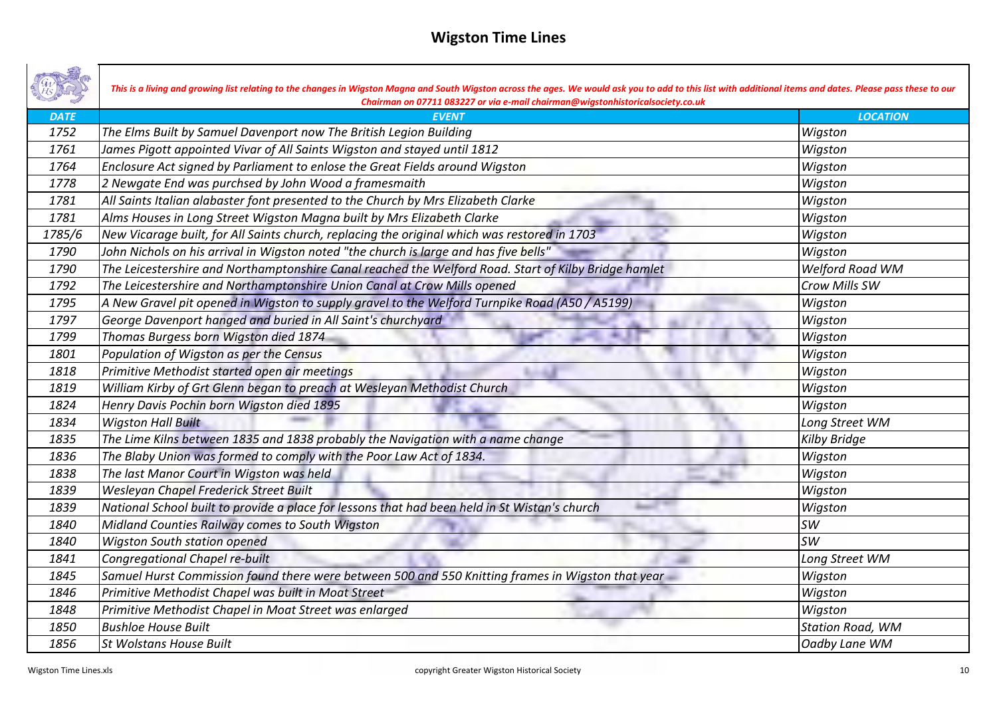|             | This is a living and growing list relating to the changes in Wigston Magna and South Wigston across the ages. We would ask you to add to this list with additional items and dates. Please pass these to our<br>Chairman on 07711 083227 or via e-mail chairman@wigstonhistoricalsociety.co.uk |                         |
|-------------|------------------------------------------------------------------------------------------------------------------------------------------------------------------------------------------------------------------------------------------------------------------------------------------------|-------------------------|
| <b>DATE</b> | <b>EVENT</b>                                                                                                                                                                                                                                                                                   | <b>LOCATION</b>         |
| 1752        | The Elms Built by Samuel Davenport now The British Legion Building                                                                                                                                                                                                                             | Wigston                 |
| 1761        | James Pigott appointed Vivar of All Saints Wigston and stayed until 1812                                                                                                                                                                                                                       | Wigston                 |
| 1764        | Enclosure Act signed by Parliament to enlose the Great Fields around Wigston                                                                                                                                                                                                                   | Wigston                 |
| 1778        | 2 Newgate End was purchsed by John Wood a framesmaith                                                                                                                                                                                                                                          | Wigston                 |
| 1781        | All Saints Italian alabaster font presented to the Church by Mrs Elizabeth Clarke                                                                                                                                                                                                              | Wigston                 |
| 1781        | Alms Houses in Long Street Wigston Magna built by Mrs Elizabeth Clarke                                                                                                                                                                                                                         | Wigston                 |
| 1785/6      | New Vicarage built, for All Saints church, replacing the original which was restored in 1703                                                                                                                                                                                                   | Wigston                 |
| 1790        | John Nichols on his arrival in Wigston noted "the church is large and has five bells"                                                                                                                                                                                                          | Wigston                 |
| 1790        | The Leicestershire and Northamptonshire Canal reached the Welford Road. Start of Kilby Bridge hamlet                                                                                                                                                                                           | Welford Road WM         |
| 1792        | The Leicestershire and Northamptonshire Union Canal at Crow Mills opened                                                                                                                                                                                                                       | Crow Mills SW           |
| 1795        | A New Gravel pit opened in Wigston to supply gravel to the Welford Turnpike Road (A50 / A5199)                                                                                                                                                                                                 | Wigston                 |
| 1797        | George Davenport hanged and buried in All Saint's churchyard                                                                                                                                                                                                                                   | Wigston                 |
| 1799        | Thomas Burgess born Wigston died 1874                                                                                                                                                                                                                                                          | Wigston                 |
| 1801        | Population of Wigston as per the Census                                                                                                                                                                                                                                                        | Wigston                 |
| 1818        | Primitive Methodist started open air meetings                                                                                                                                                                                                                                                  | Wigston                 |
| 1819        | William Kirby of Grt Glenn began to preach at Wesleyan Methodist Church                                                                                                                                                                                                                        | Wigston                 |
| 1824        | Henry Davis Pochin born Wigston died 1895                                                                                                                                                                                                                                                      | Wigston                 |
| 1834        | <b>Wigston Hall Built</b>                                                                                                                                                                                                                                                                      | Long Street WM          |
| 1835        | The Lime Kilns between 1835 and 1838 probably the Navigation with a name change                                                                                                                                                                                                                | Kilby Bridge            |
| 1836        | The Blaby Union was formed to comply with the Poor Law Act of 1834.                                                                                                                                                                                                                            | Wigston                 |
| 1838        | The last Manor Court in Wigston was held                                                                                                                                                                                                                                                       | Wigston                 |
| 1839        | Wesleyan Chapel Frederick Street Built                                                                                                                                                                                                                                                         | Wigston                 |
| 1839        | National School built to provide a place for lessons that had been held in St Wistan's church                                                                                                                                                                                                  | Wigston                 |
| 1840        | Midland Counties Railway comes to South Wigston                                                                                                                                                                                                                                                | <b>SW</b>               |
| 1840        | <b>Wigston South station opened</b>                                                                                                                                                                                                                                                            | <b>SW</b>               |
| 1841        | Congregational Chapel re-built                                                                                                                                                                                                                                                                 | Long Street WM          |
| 1845        | Samuel Hurst Commission found there were between 500 and 550 Knitting frames in Wigston that year                                                                                                                                                                                              | Wigston                 |
| 1846        | Primitive Methodist Chapel was built in Moat Street                                                                                                                                                                                                                                            | Wigston                 |
| 1848        | Primitive Methodist Chapel in Moat Street was enlarged                                                                                                                                                                                                                                         | Wigston                 |
| 1850        | <b>Bushloe House Built</b>                                                                                                                                                                                                                                                                     | <b>Station Road, WM</b> |
| 1856        | <b>St Wolstans House Built</b>                                                                                                                                                                                                                                                                 | Oadby Lane WM           |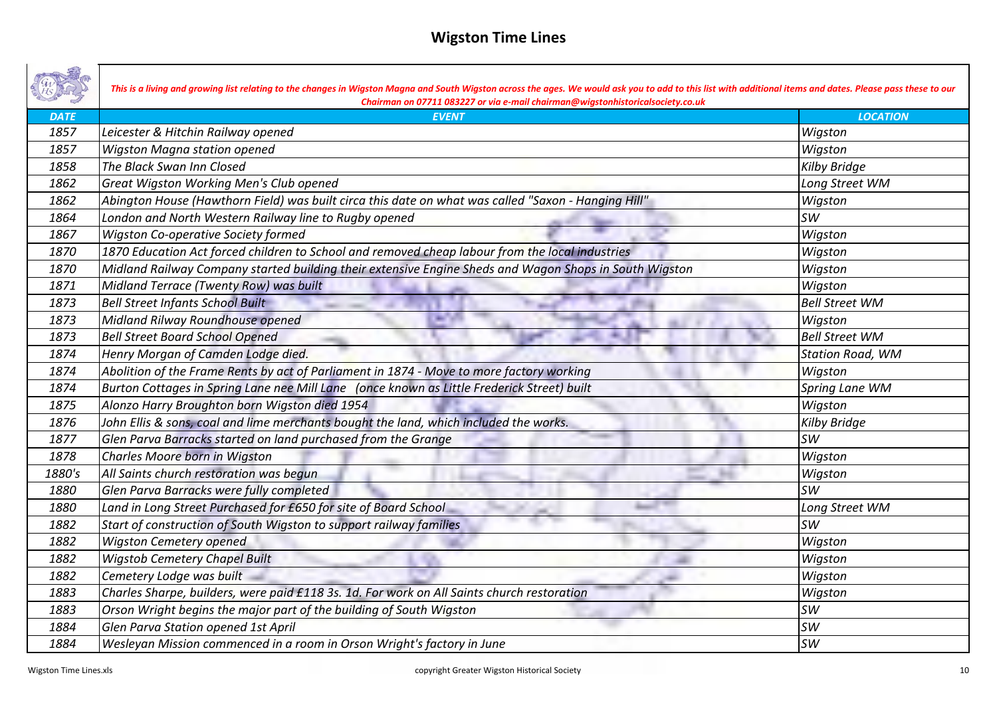|             | This is a living and growing list relating to the changes in Wigston Magna and South Wigston across the ages. We would ask you to add to this list with additional items and dates. Please pass these to our<br>Chairman on 07711 083227 or via e-mail chairman@wigstonhistoricalsociety.co.uk |                         |
|-------------|------------------------------------------------------------------------------------------------------------------------------------------------------------------------------------------------------------------------------------------------------------------------------------------------|-------------------------|
| <b>DATE</b> | <b>EVENT</b>                                                                                                                                                                                                                                                                                   | <b>LOCATION</b>         |
| 1857        | Leicester & Hitchin Railway opened                                                                                                                                                                                                                                                             | Wigston                 |
| 1857        | Wigston Magna station opened                                                                                                                                                                                                                                                                   | Wigston                 |
| 1858        | The Black Swan Inn Closed                                                                                                                                                                                                                                                                      | <b>Kilby Bridge</b>     |
| 1862        | Great Wigston Working Men's Club opened                                                                                                                                                                                                                                                        | Long Street WM          |
| 1862        | "Abington House (Hawthorn Field) was built circa this date on what was called "Saxon - Hanging Hill                                                                                                                                                                                            | Wigston                 |
| 1864        | London and North Western Railway line to Rugby opened                                                                                                                                                                                                                                          | <b>SW</b>               |
| 1867        | Wigston Co-operative Society formed                                                                                                                                                                                                                                                            | Wigston                 |
| 1870        | 1870 Education Act forced children to School and removed cheap labour from the local industries                                                                                                                                                                                                | Wigston                 |
| 1870        | Midland Railway Company started building their extensive Engine Sheds and Wagon Shops in South Wigston                                                                                                                                                                                         | Wigston                 |
| 1871        | Midland Terrace (Twenty Row) was built                                                                                                                                                                                                                                                         | Wigston                 |
| 1873        | <b>Bell Street Infants School Built</b>                                                                                                                                                                                                                                                        | <b>Bell Street WM</b>   |
| 1873        | Midland Rilway Roundhouse opened                                                                                                                                                                                                                                                               | Wigston                 |
| 1873        | <b>Bell Street Board School Opened</b>                                                                                                                                                                                                                                                         | <b>Bell Street WM</b>   |
| 1874        | Henry Morgan of Camden Lodge died.                                                                                                                                                                                                                                                             | <b>Station Road, WM</b> |
| 1874        | Abolition of the Frame Rents by act of Parliament in 1874 - Move to more factory working                                                                                                                                                                                                       | Wigston                 |
| 1874        | Burton Cottages in Spring Lane nee Mill Lane (once known as Little Frederick Street) built                                                                                                                                                                                                     | Spring Lane WM          |
| 1875        | Alonzo Harry Broughton born Wigston died 1954                                                                                                                                                                                                                                                  | Wigston                 |
| 1876        | John Ellis & sons, coal and lime merchants bought the land, which included the works.                                                                                                                                                                                                          | <b>Kilby Bridge</b>     |
| 1877        | Glen Parva Barracks started on land purchased from the Grange                                                                                                                                                                                                                                  | <b>SW</b>               |
| 1878        | Charles Moore born in Wigston                                                                                                                                                                                                                                                                  | Wigston                 |
| 1880's      | All Saints church restoration was bequn                                                                                                                                                                                                                                                        | Wigston                 |
| 1880        | Glen Parva Barracks were fully completed                                                                                                                                                                                                                                                       | <b>SW</b>               |
| 1880        | Land in Long Street Purchased for £650 for site of Board School                                                                                                                                                                                                                                | Long Street WM          |
| 1882        | Start of construction of South Wigston to support railway families                                                                                                                                                                                                                             | <b>SW</b>               |
| 1882        | <b>Wigston Cemetery opened</b>                                                                                                                                                                                                                                                                 | Wigston                 |
| 1882        | <b>Wigstob Cemetery Chapel Built</b>                                                                                                                                                                                                                                                           | Wigston                 |
| 1882        | Cemetery Lodge was built                                                                                                                                                                                                                                                                       | Wigston                 |
| 1883        | Charles Sharpe, builders, were paid £118 3s. 1d. For work on All Saints church restoration                                                                                                                                                                                                     | Wigston                 |
| 1883        | Orson Wright begins the major part of the building of South Wigston                                                                                                                                                                                                                            | <b>SW</b>               |
| 1884        | Glen Parva Station opened 1st April                                                                                                                                                                                                                                                            | <b>SW</b>               |
| 1884        | Wesleyan Mission commenced in a room in Orson Wright's factory in June                                                                                                                                                                                                                         | <b>SW</b>               |

┓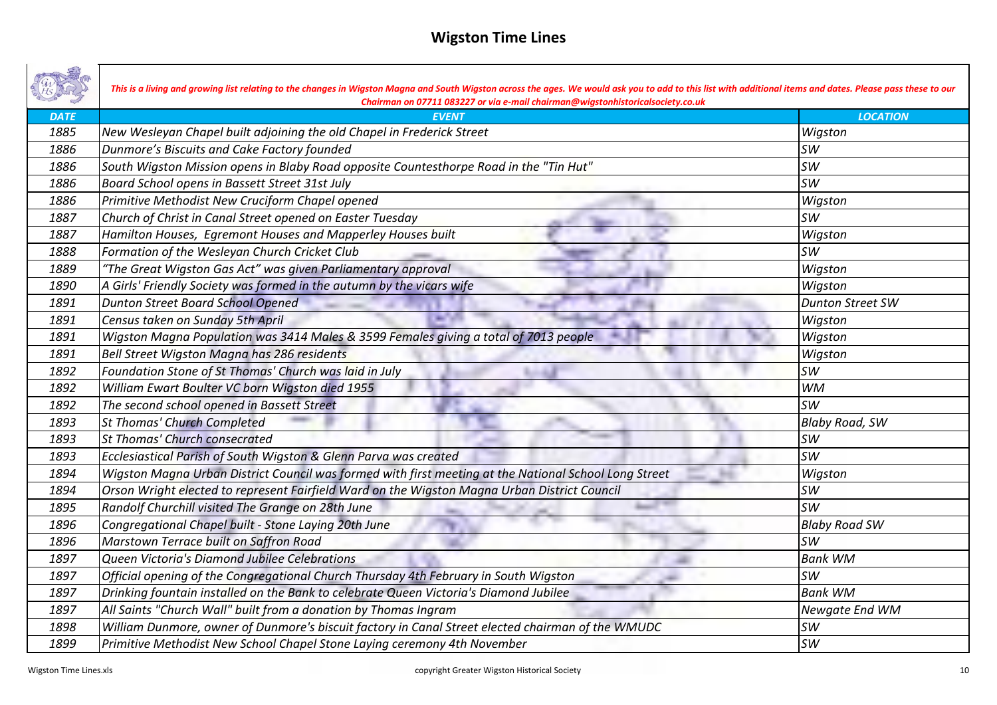|             | This is a living and growing list relating to the changes in Wigston Magna and South Wigston across the ages. We would ask you to add to this list with additional items and dates. Please pass these to our<br>Chairman on 07711 083227 or via e-mail chairman@wigstonhistoricalsociety.co.uk |                         |
|-------------|------------------------------------------------------------------------------------------------------------------------------------------------------------------------------------------------------------------------------------------------------------------------------------------------|-------------------------|
| <b>DATE</b> | <b>EVENT</b>                                                                                                                                                                                                                                                                                   | <b>LOCATION</b>         |
| 1885        | New Wesleyan Chapel built adjoining the old Chapel in Frederick Street                                                                                                                                                                                                                         | Wigston                 |
| 1886        | Dunmore's Biscuits and Cake Factory founded                                                                                                                                                                                                                                                    | <b>SW</b>               |
| 1886        | South Wigston Mission opens in Blaby Road opposite Countesthorpe Road in the "Tin Hut"                                                                                                                                                                                                         | <b>SW</b>               |
| 1886        | Board School opens in Bassett Street 31st July                                                                                                                                                                                                                                                 | <b>SW</b>               |
| 1886        | Primitive Methodist New Cruciform Chapel opened                                                                                                                                                                                                                                                | Wigston                 |
| 1887        | Church of Christ in Canal Street opened on Easter Tuesday                                                                                                                                                                                                                                      | <b>SW</b>               |
| 1887        | Hamilton Houses, Egremont Houses and Mapperley Houses built                                                                                                                                                                                                                                    | Wigston                 |
| 1888        | Formation of the Wesleyan Church Cricket Club                                                                                                                                                                                                                                                  | <b>SW</b>               |
| 1889        | "The Great Wigston Gas Act" was given Parliamentary approval                                                                                                                                                                                                                                   | Wigston                 |
| 1890        | A Girls' Friendly Society was formed in the autumn by the vicars wife                                                                                                                                                                                                                          | Wigston                 |
| 1891        | <b>Dunton Street Board School Opened</b>                                                                                                                                                                                                                                                       | <b>Dunton Street SW</b> |
| 1891        | Census taken on Sunday 5th April                                                                                                                                                                                                                                                               | Wigston                 |
| 1891        | Wigston Magna Population was 3414 Males & 3599 Females giving a total of 7013 people                                                                                                                                                                                                           | Wigston                 |
| 1891        | Bell Street Wigston Magna has 286 residents                                                                                                                                                                                                                                                    | Wigston                 |
| 1892        | Foundation Stone of St Thomas' Church was laid in July                                                                                                                                                                                                                                         | <b>SW</b>               |
| 1892        | William Ewart Boulter VC born Wigston died 1955                                                                                                                                                                                                                                                | <b>WM</b>               |
| 1892        | The second school opened in Bassett Street                                                                                                                                                                                                                                                     | <b>SW</b>               |
| 1893        | <b>St Thomas' Church Completed</b>                                                                                                                                                                                                                                                             | <b>Blaby Road, SW</b>   |
| 1893        | <b>St Thomas' Church consecrated</b>                                                                                                                                                                                                                                                           | <b>SW</b>               |
| 1893        | Ecclesiastical Parish of South Wigston & Glenn Parva was created                                                                                                                                                                                                                               | <b>SW</b>               |
| 1894        | Wigston Magna Urban District Council was formed with first meeting at the National School Long Street                                                                                                                                                                                          | Wigston                 |
| 1894        | Orson Wright elected to represent Fairfield Ward on the Wigston Magna Urban District Council                                                                                                                                                                                                   | <b>SW</b>               |
| 1895        | Randolf Churchill visited The Grange on 28th June                                                                                                                                                                                                                                              | <b>SW</b>               |
| 1896        | Congregational Chapel built - Stone Laying 20th June                                                                                                                                                                                                                                           | <b>Blaby Road SW</b>    |
| 1896        | Marstown Terrace built on Saffron Road                                                                                                                                                                                                                                                         | <b>SW</b>               |
| 1897        | Queen Victoria's Diamond Jubilee Celebrations                                                                                                                                                                                                                                                  | <b>Bank WM</b>          |
| 1897        | Official opening of the Congregational Church Thursday 4th February in South Wigston                                                                                                                                                                                                           | <b>SW</b>               |
| 1897        | Drinking fountain installed on the Bank to celebrate Queen Victoria's Diamond Jubilee                                                                                                                                                                                                          | <b>Bank WM</b>          |
| 1897        | All Saints "Church Wall" built from a donation by Thomas Ingram                                                                                                                                                                                                                                | Newgate End WM          |
| 1898        | William Dunmore, owner of Dunmore's biscuit factory in Canal Street elected chairman of the WMUDC                                                                                                                                                                                              | <b>SW</b>               |
| 1899        | Primitive Methodist New School Chapel Stone Laying ceremony 4th November                                                                                                                                                                                                                       | <b>SW</b>               |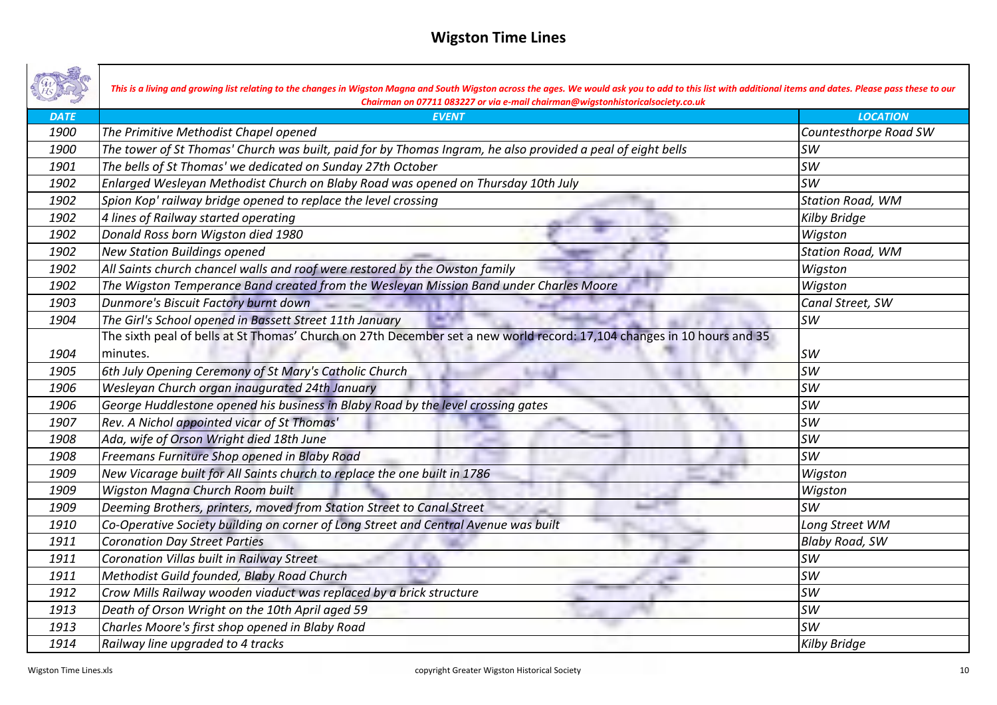|             | This is a living and growing list relating to the changes in Wigston Magna and South Wigston across the ages. We would ask you to add to this list with additional items and dates. Please pass these to our<br>Chairman on 07711 083227 or via e-mail chairman@wigstonhistoricalsociety.co.uk |                         |
|-------------|------------------------------------------------------------------------------------------------------------------------------------------------------------------------------------------------------------------------------------------------------------------------------------------------|-------------------------|
| <b>DATE</b> | <b>EVENT</b>                                                                                                                                                                                                                                                                                   | <b>LOCATION</b>         |
| 1900        | The Primitive Methodist Chapel opened                                                                                                                                                                                                                                                          | Countesthorpe Road SW   |
| 1900        | The tower of St Thomas' Church was built, paid for by Thomas Ingram, he also provided a peal of eight bells                                                                                                                                                                                    | <b>SW</b>               |
| 1901        | The bells of St Thomas' we dedicated on Sunday 27th October                                                                                                                                                                                                                                    | <b>SW</b>               |
| 1902        | Enlarged Wesleyan Methodist Church on Blaby Road was opened on Thursday 10th July                                                                                                                                                                                                              | <b>SW</b>               |
| 1902        | Spion Kop' railway bridge opened to replace the level crossing                                                                                                                                                                                                                                 | <b>Station Road, WM</b> |
| 1902        | 4 lines of Railway started operating                                                                                                                                                                                                                                                           | Kilby Bridge            |
| 1902        | Donald Ross born Wigston died 1980                                                                                                                                                                                                                                                             | Wigston                 |
| 1902        | <b>New Station Buildings opened</b>                                                                                                                                                                                                                                                            | <b>Station Road, WM</b> |
| 1902        | All Saints church chancel walls and roof were restored by the Owston family                                                                                                                                                                                                                    | Wigston                 |
| 1902        | The Wigston Temperance Band created from the Wesleyan Mission Band under Charles Moore                                                                                                                                                                                                         | Wigston                 |
| 1903        | Dunmore's Biscuit Factory burnt down                                                                                                                                                                                                                                                           | Canal Street, SW        |
| 1904        | The Girl's School opened in Bassett Street 11th January                                                                                                                                                                                                                                        | <b>SW</b>               |
|             | The sixth peal of bells at St Thomas' Church on 27th December set a new world record: 17,104 changes in 10 hours and 35                                                                                                                                                                        |                         |
| 1904        | minutes.                                                                                                                                                                                                                                                                                       | <b>SW</b>               |
| 1905        | 6th July Opening Ceremony of St Mary's Catholic Church                                                                                                                                                                                                                                         | <b>SW</b>               |
| 1906        | Wesleyan Church organ inaugurated 24th January                                                                                                                                                                                                                                                 | <b>SW</b>               |
| 1906        | George Huddlestone opened his business in Blaby Road by the level crossing gates                                                                                                                                                                                                               | <b>SW</b>               |
| 1907        | Rev. A Nichol appointed vicar of St Thomas'                                                                                                                                                                                                                                                    | <b>SW</b>               |
| 1908        | Ada, wife of Orson Wright died 18th June                                                                                                                                                                                                                                                       | <b>SW</b>               |
| 1908        | Freemans Furniture Shop opened in Blaby Road                                                                                                                                                                                                                                                   | <b>SW</b>               |
| 1909        | New Vicarage built for All Saints church to replace the one built in 1786                                                                                                                                                                                                                      | Wigston                 |
| 1909        | Wigston Magna Church Room built                                                                                                                                                                                                                                                                | Wigston                 |
| 1909        | Deeming Brothers, printers, moved from Station Street to Canal Street                                                                                                                                                                                                                          | <b>SW</b>               |
| 1910        | Co-Operative Society building on corner of Long Street and Central Avenue was built                                                                                                                                                                                                            | Long Street WM          |
| 1911        | <b>Coronation Day Street Parties</b>                                                                                                                                                                                                                                                           | <b>Blaby Road, SW</b>   |
| 1911        | Coronation Villas built in Railway Street                                                                                                                                                                                                                                                      | <b>SW</b>               |
| 1911        | Methodist Guild founded, Blaby Road Church                                                                                                                                                                                                                                                     | <b>SW</b>               |
| 1912        | Crow Mills Railway wooden viaduct was replaced by a brick structure                                                                                                                                                                                                                            | <b>SW</b>               |
| 1913        | Death of Orson Wright on the 10th April aged 59                                                                                                                                                                                                                                                | <b>SW</b>               |
| 1913        | Charles Moore's first shop opened in Blaby Road                                                                                                                                                                                                                                                | <b>SW</b>               |
| 1914        | Railway line upgraded to 4 tracks                                                                                                                                                                                                                                                              | <b>Kilby Bridge</b>     |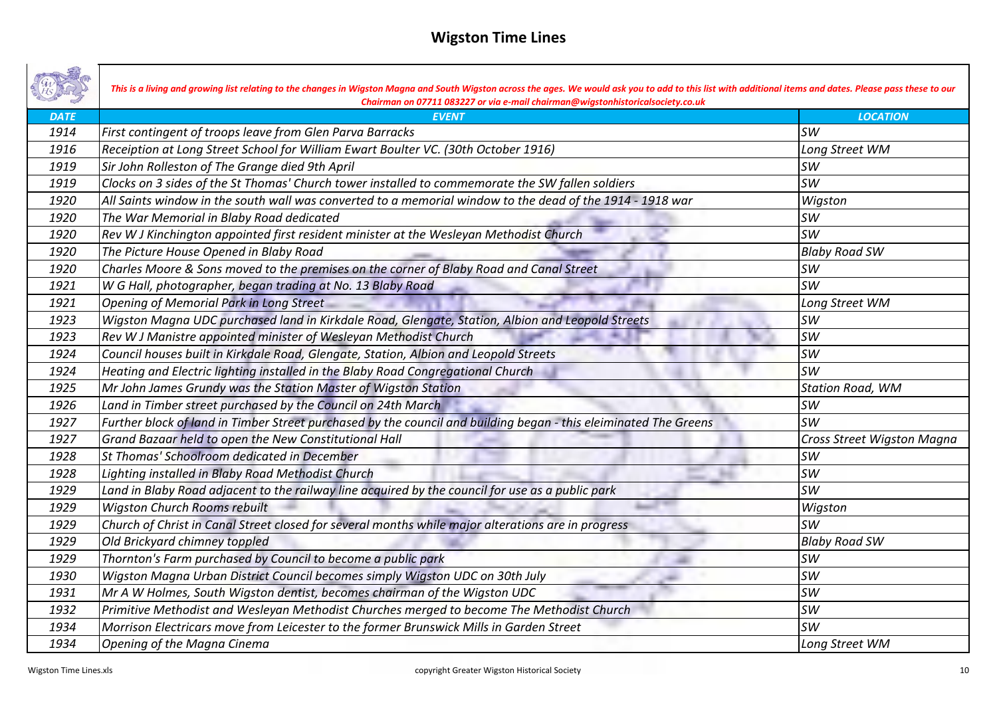|             | This is a living and growing list relating to the changes in Wigston Magna and South Wigston across the ages. We would ask you to add to this list with additional items and dates. Please pass these to our<br>Chairman on 07711 083227 or via e-mail chairman@wigstonhistoricalsociety.co.uk |                            |
|-------------|------------------------------------------------------------------------------------------------------------------------------------------------------------------------------------------------------------------------------------------------------------------------------------------------|----------------------------|
| <b>DATE</b> | <b>EVENT</b>                                                                                                                                                                                                                                                                                   | <b>LOCATION</b>            |
| 1914        | First contingent of troops leave from Glen Parva Barracks                                                                                                                                                                                                                                      | <b>SW</b>                  |
| 1916        | Receiption at Long Street School for William Ewart Boulter VC. (30th October 1916)                                                                                                                                                                                                             | Long Street WM             |
| 1919        | Sir John Rolleston of The Grange died 9th April                                                                                                                                                                                                                                                | <b>SW</b>                  |
| 1919        | Clocks on 3 sides of the St Thomas' Church tower installed to commemorate the SW fallen soldiers                                                                                                                                                                                               | <b>SW</b>                  |
| 1920        | $ $ All Saints window in the south wall was converted to a memorial window to the dead of the 1914 - 1918 war                                                                                                                                                                                  | Wigston                    |
| 1920        | The War Memorial in Blaby Road dedicated                                                                                                                                                                                                                                                       | <b>SW</b>                  |
| 1920        | Rev W J Kinchington appointed first resident minister at the Wesleyan Methodist Church                                                                                                                                                                                                         | <b>SW</b>                  |
| 1920        | The Picture House Opened in Blaby Road                                                                                                                                                                                                                                                         | <b>Blaby Road SW</b>       |
| 1920        | Charles Moore & Sons moved to the premises on the corner of Blaby Road and Canal Street                                                                                                                                                                                                        | <b>SW</b>                  |
| 1921        | W G Hall, photographer, began trading at No. 13 Blaby Road                                                                                                                                                                                                                                     | <b>SW</b>                  |
| 1921        | <b>Opening of Memorial Park in Long Street</b>                                                                                                                                                                                                                                                 | Long Street WM             |
| 1923        | Wigston Magna UDC purchased land in Kirkdale Road, Glengate, Station, Albion and Leopold Streets                                                                                                                                                                                               | <b>SW</b>                  |
| 1923        | Rev W J Manistre appointed minister of Wesleyan Methodist Church                                                                                                                                                                                                                               | <b>SW</b>                  |
| 1924        | Council houses built in Kirkdale Road, Glengate, Station, Albion and Leopold Streets                                                                                                                                                                                                           | <b>SW</b>                  |
| 1924        | Heating and Electric lighting installed in the Blaby Road Congregational Church                                                                                                                                                                                                                | <b>SW</b>                  |
| 1925        | Mr John James Grundy was the Station Master of Wigston Station                                                                                                                                                                                                                                 | <b>Station Road, WM</b>    |
| 1926        | Land in Timber street purchased by the Council on 24th March                                                                                                                                                                                                                                   | <b>SW</b>                  |
| 1927        | Further block of land in Timber Street purchased by the council and building began - this eleiminated The Greens                                                                                                                                                                               | <b>SW</b>                  |
| 1927        | Grand Bazaar held to open the New Constitutional Hall                                                                                                                                                                                                                                          | Cross Street Wigston Magna |
| 1928        | St Thomas' Schoolroom dedicated in December                                                                                                                                                                                                                                                    | <b>SW</b>                  |
| 1928        | Lighting installed in Blaby Road Methodist Church                                                                                                                                                                                                                                              | <b>SW</b>                  |
| 1929        | Land in Blaby Road adjacent to the railway line acquired by the council for use as a public park                                                                                                                                                                                               | <b>SW</b>                  |
| 1929        | <b>Wigston Church Rooms rebuilt</b>                                                                                                                                                                                                                                                            | Wigston                    |
| 1929        | Church of Christ in Canal Street closed for several months while major alterations are in progress                                                                                                                                                                                             | <b>SW</b>                  |
| 1929        | Old Brickyard chimney toppled                                                                                                                                                                                                                                                                  | <b>Blaby Road SW</b>       |
| 1929        | Thornton's Farm purchased by Council to become a public park                                                                                                                                                                                                                                   | <b>SW</b>                  |
| 1930        | Wigston Magna Urban District Council becomes simply Wigston UDC on 30th July                                                                                                                                                                                                                   | <b>SW</b>                  |
| 1931        | Mr A W Holmes, South Wigston dentist, becomes chairman of the Wigston UDC                                                                                                                                                                                                                      | <b>SW</b>                  |
| 1932        | Primitive Methodist and Wesleyan Methodist Churches merged to become The Methodist Church                                                                                                                                                                                                      | <b>SW</b>                  |
| 1934        | Morrison Electricars move from Leicester to the former Brunswick Mills in Garden Street                                                                                                                                                                                                        | <b>SW</b>                  |
| 1934        | Opening of the Magna Cinema                                                                                                                                                                                                                                                                    | Long Street WM             |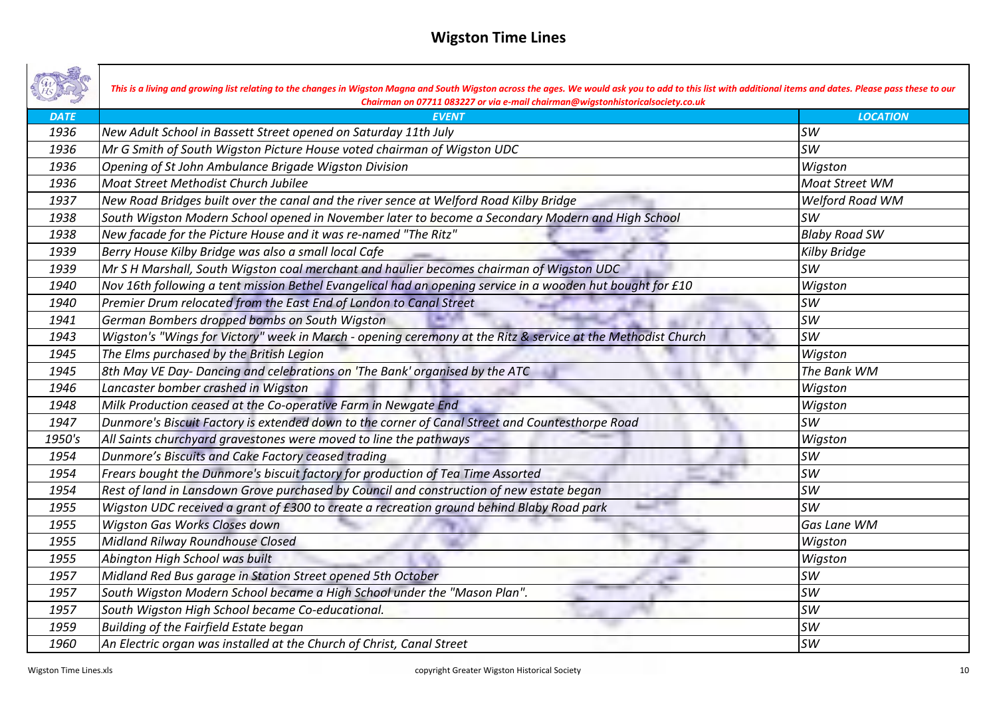|             | This is a living and growing list relating to the changes in Wigston Magna and South Wigston across the ages. We would ask you to add to this list with additional items and dates. Please pass these to our<br>Chairman on 07711 083227 or via e-mail chairman@wigstonhistoricalsociety.co.uk |                       |
|-------------|------------------------------------------------------------------------------------------------------------------------------------------------------------------------------------------------------------------------------------------------------------------------------------------------|-----------------------|
| <b>DATE</b> | <b>EVENT</b>                                                                                                                                                                                                                                                                                   | <b>LOCATION</b>       |
| 1936        | New Adult School in Bassett Street opened on Saturday 11th July                                                                                                                                                                                                                                | <b>SW</b>             |
| 1936        | Mr G Smith of South Wigston Picture House voted chairman of Wigston UDC                                                                                                                                                                                                                        | <b>SW</b>             |
| 1936        | Opening of St John Ambulance Brigade Wigston Division                                                                                                                                                                                                                                          | Wigston               |
| 1936        | Moat Street Methodist Church Jubilee                                                                                                                                                                                                                                                           | <b>Moat Street WM</b> |
| 1937        | New Road Bridges built over the canal and the river sence at Welford Road Kilby Bridge                                                                                                                                                                                                         | Welford Road WM       |
| 1938        | South Wigston Modern School opened in November later to become a Secondary Modern and High School                                                                                                                                                                                              | <b>SW</b>             |
| 1938        | New facade for the Picture House and it was re-named "The Ritz"                                                                                                                                                                                                                                | <b>Blaby Road SW</b>  |
| 1939        | Berry House Kilby Bridge was also a small local Cafe                                                                                                                                                                                                                                           | <b>Kilby Bridge</b>   |
| 1939        | Mr S H Marshall, South Wigston coal merchant and haulier becomes chairman of Wigston UDC                                                                                                                                                                                                       | <b>SW</b>             |
| 1940        | Nov 16th following a tent mission Bethel Evangelical had an opening service in a wooden hut bought for £10                                                                                                                                                                                     | Wigston               |
| 1940        | Premier Drum relocated from the East End of London to Canal Street                                                                                                                                                                                                                             | <b>SW</b>             |
| 1941        | German Bombers dropped bombs on South Wigston                                                                                                                                                                                                                                                  | <b>SW</b>             |
| 1943        | Wigston's "Wings for Victory" week in March - opening ceremony at the Ritz & service at the Methodist Church                                                                                                                                                                                   | <b>SW</b>             |
| 1945        | The Elms purchased by the British Legion                                                                                                                                                                                                                                                       | Wigston               |
| 1945        | 8th May VE Day- Dancing and celebrations on 'The Bank' organised by the ATC                                                                                                                                                                                                                    | The Bank WM           |
| 1946        | Lancaster bomber crashed in Wigston                                                                                                                                                                                                                                                            | Wigston               |
| 1948        | Milk Production ceased at the Co-operative Farm in Newgate End                                                                                                                                                                                                                                 | Wigston               |
| 1947        | Dunmore's Biscuit Factory is extended down to the corner of Canal Street and Countesthorpe Road                                                                                                                                                                                                | <b>SW</b>             |
| 1950's      | All Saints churchyard gravestones were moved to line the pathways                                                                                                                                                                                                                              | Wigston               |
| 1954        | Dunmore's Biscuits and Cake Factory ceased trading                                                                                                                                                                                                                                             | <b>SW</b>             |
| 1954        | Frears bought the Dunmore's biscuit factory for production of Tea Time Assorted                                                                                                                                                                                                                | <b>SW</b>             |
| 1954        | Rest of land in Lansdown Grove purchased by Council and construction of new estate began                                                                                                                                                                                                       | <b>SW</b>             |
| 1955        | Wigston UDC received a grant of £300 to create a recreation ground behind Blaby Road park                                                                                                                                                                                                      | <b>SW</b>             |
| 1955        | Wigston Gas Works Closes down                                                                                                                                                                                                                                                                  | <b>Gas Lane WM</b>    |
| 1955        | Midland Rilway Roundhouse Closed                                                                                                                                                                                                                                                               | Wigston               |
| 1955        | Abington High School was built                                                                                                                                                                                                                                                                 | Wigston               |
| 1957        | Midland Red Bus garage in Station Street opened 5th October                                                                                                                                                                                                                                    | <b>SW</b>             |
| 1957        | South Wigston Modern School became a High School under the "Mason Plan".                                                                                                                                                                                                                       | <b>SW</b>             |
| 1957        | South Wigston High School became Co-educational.                                                                                                                                                                                                                                               | <b>SW</b>             |
| 1959        | Building of the Fairfield Estate began                                                                                                                                                                                                                                                         | <b>SW</b>             |
| 1960        | $ $ An Electric organ was installed at the Church of Christ, Canal Street                                                                                                                                                                                                                      | <b>SW</b>             |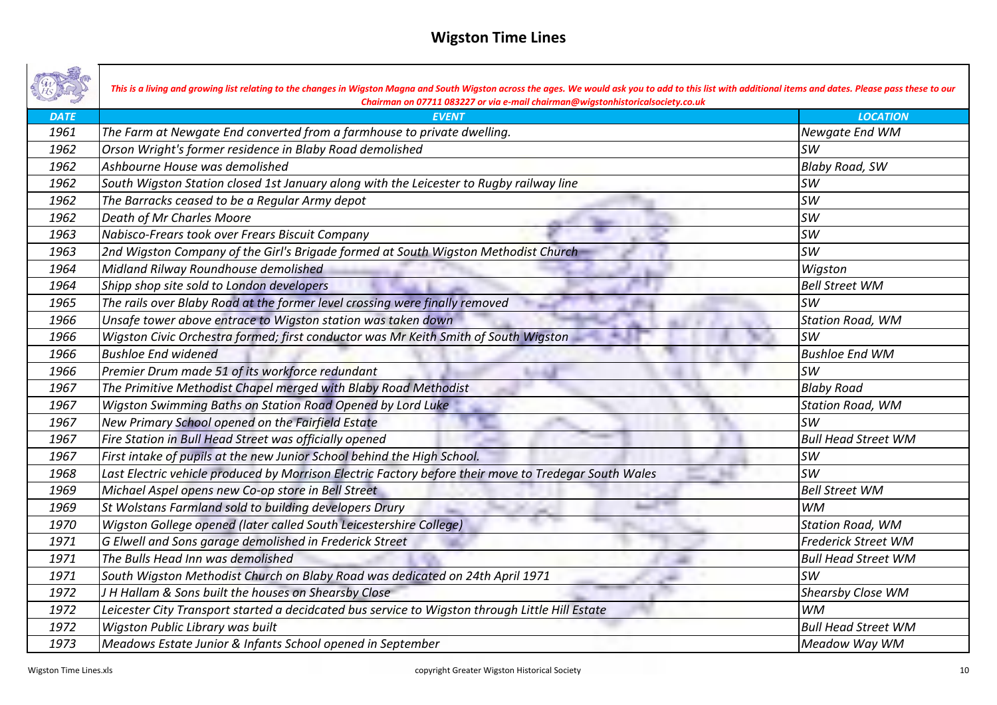|             | This is a living and growing list relating to the changes in Wigston Magna and South Wigston across the ages. We would ask you to add to this list with additional items and dates. Please pass these to our<br>Chairman on 07711 083227 or via e-mail chairman@wigstonhistoricalsociety.co.uk |                            |
|-------------|------------------------------------------------------------------------------------------------------------------------------------------------------------------------------------------------------------------------------------------------------------------------------------------------|----------------------------|
| <b>DATE</b> | <b>EVENT</b>                                                                                                                                                                                                                                                                                   | <b>LOCATION</b>            |
| 1961        | The Farm at Newgate End converted from a farmhouse to private dwelling.                                                                                                                                                                                                                        | Newgate End WM             |
| 1962        | Orson Wright's former residence in Blaby Road demolished                                                                                                                                                                                                                                       | <b>SW</b>                  |
| 1962        | Ashbourne House was demolished                                                                                                                                                                                                                                                                 | <b>Blaby Road, SW</b>      |
| 1962        | South Wigston Station closed 1st January along with the Leicester to Rugby railway line                                                                                                                                                                                                        | <b>SW</b>                  |
| 1962        | The Barracks ceased to be a Regular Army depot                                                                                                                                                                                                                                                 | <b>SW</b>                  |
| 1962        | Death of Mr Charles Moore                                                                                                                                                                                                                                                                      | <b>SW</b>                  |
| 1963        | Nabisco-Frears took over Frears Biscuit Company                                                                                                                                                                                                                                                | <b>SW</b>                  |
| 1963        | 2nd Wigston Company of the Girl's Brigade formed at South Wigston Methodist Church                                                                                                                                                                                                             | <b>SW</b>                  |
| 1964        | Midland Rilway Roundhouse demolished                                                                                                                                                                                                                                                           | Wigston                    |
| 1964        | Shipp shop site sold to London developers                                                                                                                                                                                                                                                      | <b>Bell Street WM</b>      |
| 1965        | The rails over Blaby Road at the former level crossing were finally removed                                                                                                                                                                                                                    | <b>SW</b>                  |
| 1966        | Unsafe tower above entrace to Wigston station was taken down                                                                                                                                                                                                                                   | <b>Station Road, WM</b>    |
| 1966        | Wigston Civic Orchestra formed; first conductor was Mr Keith Smith of South Wigston                                                                                                                                                                                                            | <b>SW</b>                  |
| 1966        | <b>Bushloe End widened</b>                                                                                                                                                                                                                                                                     | <b>Bushloe End WM</b>      |
| 1966        | Premier Drum made 51 of its workforce redundant                                                                                                                                                                                                                                                | <b>SW</b>                  |
| 1967        | The Primitive Methodist Chapel merged with Blaby Road Methodist                                                                                                                                                                                                                                | <b>Blaby Road</b>          |
| 1967        | Wigston Swimming Baths on Station Road Opened by Lord Luke                                                                                                                                                                                                                                     | <b>Station Road, WM</b>    |
| 1967        | New Primary School opened on the Fairfield Estate                                                                                                                                                                                                                                              | <b>SW</b>                  |
| 1967        | Fire Station in Bull Head Street was officially opened                                                                                                                                                                                                                                         | <b>Bull Head Street WM</b> |
| 1967        | First intake of pupils at the new Junior School behind the High School.                                                                                                                                                                                                                        | <b>SW</b>                  |
| 1968        | Last Electric vehicle produced by Morrison Electric Factory before their move to Tredegar South Wales                                                                                                                                                                                          | <b>SW</b>                  |
| 1969        | Michael Aspel opens new Co-op store in Bell Street                                                                                                                                                                                                                                             | <b>Bell Street WM</b>      |
| 1969        | St Wolstans Farmland sold to building developers Drury                                                                                                                                                                                                                                         | <b>WM</b>                  |
| 1970        | Wigston Gollege opened (later called South Leicestershire College)                                                                                                                                                                                                                             | <b>Station Road, WM</b>    |
| 1971        | G Elwell and Sons garage demolished in Frederick Street                                                                                                                                                                                                                                        | <b>Frederick Street WM</b> |
| 1971        | The Bulls Head Inn was demolished                                                                                                                                                                                                                                                              | <b>Bull Head Street WM</b> |
| 1971        | South Wigston Methodist Church on Blaby Road was dedicated on 24th April 1971                                                                                                                                                                                                                  | <b>SW</b>                  |
| 1972        | J H Hallam & Sons built the houses on Shearsby Close                                                                                                                                                                                                                                           | Shearsby Close WM          |
| 1972        | Leicester City Transport started a decidcated bus service to Wigston through Little Hill Estate                                                                                                                                                                                                | <b>WM</b>                  |
| 1972        | Wigston Public Library was built                                                                                                                                                                                                                                                               | <b>Bull Head Street WM</b> |
| 1973        | Meadows Estate Junior & Infants School opened in September                                                                                                                                                                                                                                     | Meadow Way WM              |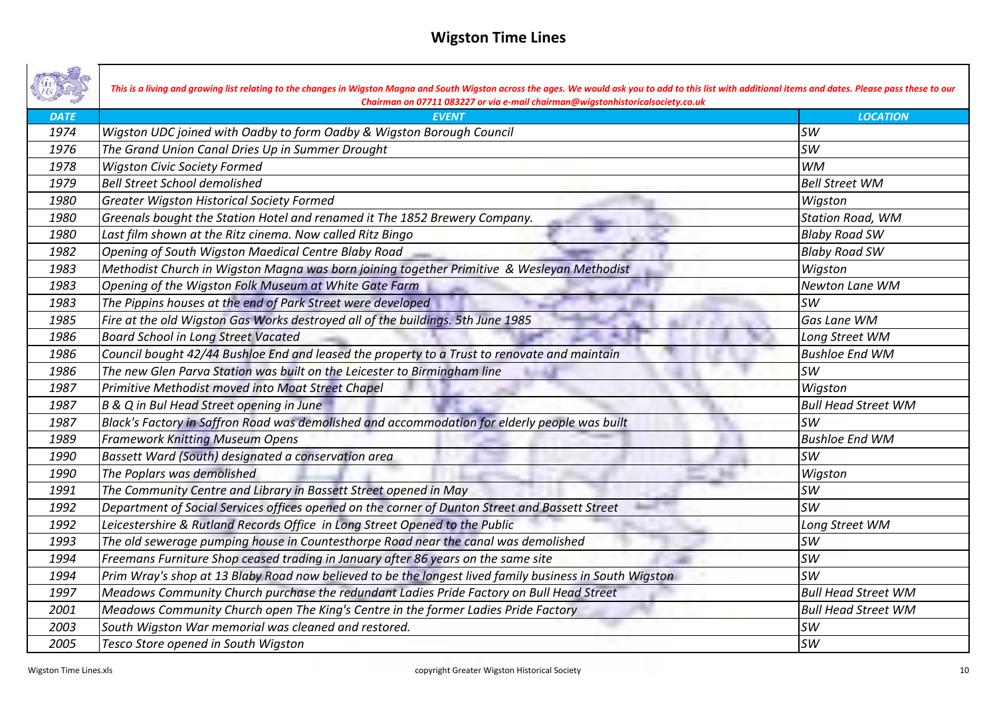|             | This is a living and growing list relating to the changes in Wigston Magna and South Wigston across the ages. We would ask you to add to this list with additional items and dates. Please pass these to our<br>Chairman on 07711 083227 or via e-mail chairman@wigstonhistoricalsociety.co.uk |                            |
|-------------|------------------------------------------------------------------------------------------------------------------------------------------------------------------------------------------------------------------------------------------------------------------------------------------------|----------------------------|
| <b>DATE</b> | <b>EVENT</b>                                                                                                                                                                                                                                                                                   | <b>LOCATION</b>            |
| 1974        | Wigston UDC joined with Oadby to form Oadby & Wigston Borough Council                                                                                                                                                                                                                          | <b>SW</b>                  |
| 1976        | The Grand Union Canal Dries Up in Summer Drought                                                                                                                                                                                                                                               | <b>SW</b>                  |
| 1978        | <b>Wigston Civic Society Formed</b>                                                                                                                                                                                                                                                            | <b>WM</b>                  |
| 1979        | <b>Bell Street School demolished</b>                                                                                                                                                                                                                                                           | <b>Bell Street WM</b>      |
| 1980        | <b>Greater Wigston Historical Society Formed</b>                                                                                                                                                                                                                                               | Wigston                    |
| 1980        | Greenals bought the Station Hotel and renamed it The 1852 Brewery Company.                                                                                                                                                                                                                     | <b>Station Road, WM</b>    |
| 1980        | Last film shown at the Ritz cinema. Now called Ritz Bingo                                                                                                                                                                                                                                      | <b>Blaby Road SW</b>       |
| 1982        | Opening of South Wigston Maedical Centre Blaby Road                                                                                                                                                                                                                                            | <b>Blaby Road SW</b>       |
| 1983        | Methodist Church in Wigston Magna was born joining together Primitive & Wesleyan Methodist                                                                                                                                                                                                     | Wigston                    |
| 1983        | Opening of the Wigston Folk Museum at White Gate Farm                                                                                                                                                                                                                                          | Newton Lane WM             |
| 1983        | The Pippins houses at the end of Park Street were developed                                                                                                                                                                                                                                    | <b>SW</b>                  |
| 1985        | Fire at the old Wigston Gas Works destroyed all of the buildings. 5th June 1985                                                                                                                                                                                                                | Gas Lane WM                |
| 1986        | <b>Board School in Long Street Vacated</b>                                                                                                                                                                                                                                                     | Long Street WM             |
| 1986        | Council bought 42/44 Bushloe End and leased the property to a Trust to renovate and maintain                                                                                                                                                                                                   | <b>Bushloe End WM</b>      |
| 1986        | The new Glen Parva Station was built on the Leicester to Birmingham line                                                                                                                                                                                                                       | <b>SW</b>                  |
| 1987        | Primitive Methodist moved into Moat Street Chapel                                                                                                                                                                                                                                              | Wigston                    |
| 1987        | B & Q in Bul Head Street opening in June                                                                                                                                                                                                                                                       | <b>Bull Head Street WM</b> |
| 1987        | Black's Factory in Saffron Road was demolished and accommodation for elderly people was built                                                                                                                                                                                                  | <b>SW</b>                  |
| 1989        | <b>Framework Knitting Museum Opens</b>                                                                                                                                                                                                                                                         | <b>Bushloe End WM</b>      |
| 1990        | Bassett Ward (South) designated a conservation area                                                                                                                                                                                                                                            | <b>SW</b>                  |
| 1990        | The Poplars was demolished                                                                                                                                                                                                                                                                     | Wigston                    |
| 1991        | The Community Centre and Library in Bassett Street opened in May                                                                                                                                                                                                                               | <b>SW</b>                  |
| 1992        | Department of Social Services offices opened on the corner of Dunton Street and Bassett Street                                                                                                                                                                                                 | <b>SW</b>                  |
| 1992        | Leicestershire & Rutland Records Office in Long Street Opened to the Public                                                                                                                                                                                                                    | Long Street WM             |
| 1993        | The old sewerage pumping house in Countesthorpe Road near the canal was demolished                                                                                                                                                                                                             | <b>SW</b>                  |
| 1994        | Freemans Furniture Shop ceased trading in January after 86 years on the same site                                                                                                                                                                                                              | <b>SW</b>                  |
| 1994        | Prim Wray's shop at 13 Blaby Road now believed to be the longest lived family business in South Wigston                                                                                                                                                                                        | <b>SW</b>                  |
| 1997        | Meadows Community Church purchase the redundant Ladies Pride Factory on Bull Head Street                                                                                                                                                                                                       | <b>Bull Head Street WM</b> |
| 2001        | Meadows Community Church open The King's Centre in the former Ladies Pride Factory                                                                                                                                                                                                             | <b>Bull Head Street WM</b> |
| 2003        | South Wigston War memorial was cleaned and restored.                                                                                                                                                                                                                                           | <b>SW</b>                  |
| 2005        | Tesco Store opened in South Wigston                                                                                                                                                                                                                                                            | <b>SW</b>                  |

┓